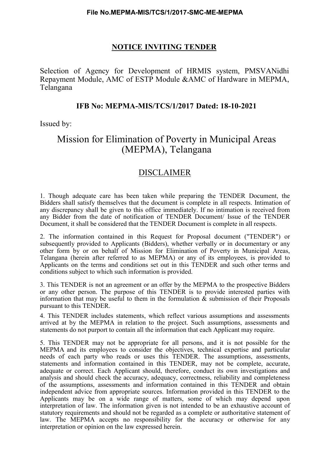### NOTICE INVITING TENDER

Selection of Agency for Development of HRMIS system, PMSVANidhi Repayment Module, AMC of ESTP Module &AMC of Hardware in MEPMA, Telangana

#### IFB No: MEPMA-MIS/TCS/1/2017 Dated: 18-10-2021

Issued by:

## Mission for Elimination of Poverty in Municipal Areas (MEPMA), Telangana

## DISCLAIMER

1. Though adequate care has been taken while preparing the TENDER Document, the Bidders shall satisfy themselves that the document is complete in all respects. Intimation of any discrepancy shall be given to this office immediately. If no intimation is received from any Bidder from the date of notification of TENDER Document/ Issue of the TENDER Document, it shall be considered that the TENDER Document is complete in all respects.

2. The information contained in this Request for Proposal document ("TENDER") or subsequently provided to Applicants (Bidders), whether verbally or in documentary or any other form by or on behalf of Mission for Elimination of Poverty in Municipal Areas, Telangana (herein after referred to as MEPMA) or any of its employees, is provided to Applicants on the terms and conditions set out in this TENDER and such other terms and conditions subject to which such information is provided.

3. This TENDER is not an agreement or an offer by the MEPMA to the prospective Bidders or any other person. The purpose of this TENDER is to provide interested parties with information that may be useful to them in the formulation  $\&$  submission of their Proposals pursuant to this TENDER.

4. This TENDER includes statements, which reflect various assumptions and assessments arrived at by the MEPMA in relation to the project. Such assumptions, assessments and statements do not purport to contain all the information that each Applicant may require.

5. This TENDER may not be appropriate for all persons, and it is not possible for the MEPMA and its employees to consider the objectives, technical expertise and particular needs of each party who reads or uses this TENDER. The assumptions, assessments, statements and information contained in this TENDER, may not be complete, accurate, adequate or correct. Each Applicant should, therefore, conduct its own investigations and analysis and should check the accuracy, adequacy, correctness, reliability and completeness of the assumptions, assessments and information contained in this TENDER and obtain independent advice from appropriate sources. Information provided in this TENDER to the Applicants may be on a wide range of matters, some of which may depend upon interpretation of law. The information given is not intended to be an exhaustive account of statutory requirements and should not be regarded as a complete or authoritative statement of law. The MEPMA accepts no responsibility for the accuracy or otherwise for any interpretation or opinion on the law expressed herein.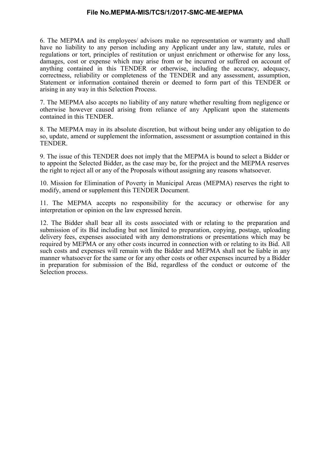6. The MEPMA and its employees/ advisors make no representation or warranty and shall have no liability to any person including any Applicant under any law, statute, rules or regulations or tort, principles of restitution or unjust enrichment or otherwise for any loss, damages, cost or expense which may arise from or be incurred or suffered on account of anything contained in this TENDER or otherwise, including the accuracy, adequacy, correctness, reliability or completeness of the TENDER and any assessment, assumption, Statement or information contained therein or deemed to form part of this TENDER or arising in any way in this Selection Process.

7. The MEPMA also accepts no liability of any nature whether resulting from negligence or otherwise however caused arising from reliance of any Applicant upon the statements contained in this TENDER.

8. The MEPMA may in its absolute discretion, but without being under any obligation to do so, update, amend or supplement the information, assessment or assumption contained in this TENDER.

9. The issue of this TENDER does not imply that the MEPMA is bound to select a Bidder or to appoint the Selected Bidder, as the case may be, for the project and the MEPMA reserves the right to reject all or any of the Proposals without assigning any reasons whatsoever.

10. Mission for Elimination of Poverty in Municipal Areas (MEPMA) reserves the right to modify, amend or supplement this TENDER Document.

11. The MEPMA accepts no responsibility for the accuracy or otherwise for any interpretation or opinion on the law expressed herein.

12. The Bidder shall bear all its costs associated with or relating to the preparation and submission of its Bid including but not limited to preparation, copying, postage, uploading delivery fees, expenses associated with any demonstrations or presentations which may be required by MEPMA or any other costs incurred in connection with or relating to its Bid. All such costs and expenses will remain with the Bidder and MEPMA shall not be liable in any manner whatsoever for the same or for any other costs or other expenses incurred by a Bidder in preparation for submission of the Bid, regardless of the conduct or outcome of the Selection process.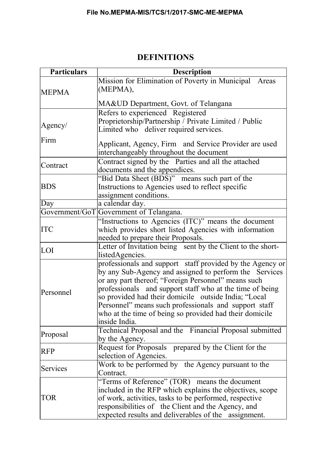| <b>Particulars</b>                                                                                                                                                                                                                                                                                                                                                                                                                               | <b>Description</b>                                                                                                                                                                                                                                                                |  |  |  |
|--------------------------------------------------------------------------------------------------------------------------------------------------------------------------------------------------------------------------------------------------------------------------------------------------------------------------------------------------------------------------------------------------------------------------------------------------|-----------------------------------------------------------------------------------------------------------------------------------------------------------------------------------------------------------------------------------------------------------------------------------|--|--|--|
| <b>MEPMA</b>                                                                                                                                                                                                                                                                                                                                                                                                                                     | Mission for Elimination of Poverty in Municipal Areas<br>(MEPMA),                                                                                                                                                                                                                 |  |  |  |
|                                                                                                                                                                                                                                                                                                                                                                                                                                                  | MA&UD Department, Govt. of Telangana                                                                                                                                                                                                                                              |  |  |  |
| Agency/                                                                                                                                                                                                                                                                                                                                                                                                                                          | Refers to experienced Registered<br>Proprietorship/Partnership / Private Limited / Public<br>Limited who deliver required services.                                                                                                                                               |  |  |  |
| Firm                                                                                                                                                                                                                                                                                                                                                                                                                                             | Applicant, Agency, Firm and Service Provider are used<br>interchangeably throughout the document                                                                                                                                                                                  |  |  |  |
| Contract                                                                                                                                                                                                                                                                                                                                                                                                                                         | Contract signed by the Parties and all the attached<br>documents and the appendices.                                                                                                                                                                                              |  |  |  |
| <b>BDS</b>                                                                                                                                                                                                                                                                                                                                                                                                                                       | "Bid Data Sheet (BDS)" means such part of the<br>Instructions to Agencies used to reflect specific<br>assignment conditions.                                                                                                                                                      |  |  |  |
| Day                                                                                                                                                                                                                                                                                                                                                                                                                                              | a calendar day.                                                                                                                                                                                                                                                                   |  |  |  |
|                                                                                                                                                                                                                                                                                                                                                                                                                                                  | Government/GoT Government of Telangana.                                                                                                                                                                                                                                           |  |  |  |
| <b>ITC</b>                                                                                                                                                                                                                                                                                                                                                                                                                                       | "Instructions to Agencies (ITC)" means the document<br>which provides short listed Agencies with information<br>needed to prepare their Proposals.                                                                                                                                |  |  |  |
| LOI                                                                                                                                                                                                                                                                                                                                                                                                                                              | Letter of Invitation being sent by the Client to the short-<br>listedAgencies.                                                                                                                                                                                                    |  |  |  |
| professionals and support staff provided by the Agency or<br>by any Sub-Agency and assigned to perform the Services<br>or any part thereof; "Foreign Personnel" means such<br>professionals and support staff who at the time of being<br>Personnel<br>so provided had their domicile outside India; "Local<br>Personnel" means such professionals and support staff<br>who at the time of being so provided had their domicile<br>inside India. |                                                                                                                                                                                                                                                                                   |  |  |  |
| Proposal                                                                                                                                                                                                                                                                                                                                                                                                                                         | Technical Proposal and the Financial Proposal submitted<br>by the Agency.                                                                                                                                                                                                         |  |  |  |
| <b>RFP</b>                                                                                                                                                                                                                                                                                                                                                                                                                                       | Request for Proposals prepared by the Client for the<br>selection of Agencies.                                                                                                                                                                                                    |  |  |  |
| Services                                                                                                                                                                                                                                                                                                                                                                                                                                         | Work to be performed by the Agency pursuant to the<br>Contract.                                                                                                                                                                                                                   |  |  |  |
| <b>TOR</b>                                                                                                                                                                                                                                                                                                                                                                                                                                       | "Terms of Reference" (TOR) means the document<br>included in the RFP which explains the objectives, scope<br>of work, activities, tasks to be performed, respective<br>responsibilities of the Client and the Agency, and<br>expected results and deliverables of the assignment. |  |  |  |

## DEFINITIONS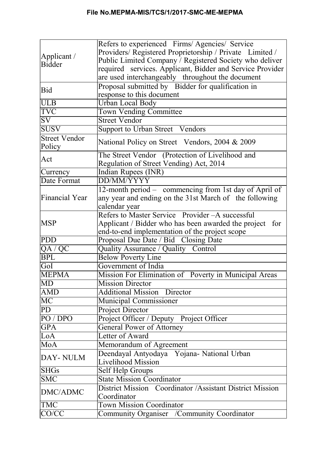|                                | Refers to experienced Firms/Agencies/ Service             |  |  |  |  |
|--------------------------------|-----------------------------------------------------------|--|--|--|--|
|                                | Providers/ Registered Proprietorship / Private Limited /  |  |  |  |  |
| Applicant $\ell$<br>Bidder     | Public Limited Company / Registered Society who deliver   |  |  |  |  |
|                                | required services. Applicant, Bidder and Service Provider |  |  |  |  |
|                                | are used interchangeably throughout the document          |  |  |  |  |
|                                | Proposal submitted by Bidder for qualification in         |  |  |  |  |
| Bid                            | response to this document                                 |  |  |  |  |
| <b>ULB</b>                     | <b>Urban Local Body</b>                                   |  |  |  |  |
| <b>TVC</b>                     | <b>Town Vending Committee</b>                             |  |  |  |  |
| $\overline{\mathrm{SV}}$       | <b>Street Vendor</b>                                      |  |  |  |  |
| <b>SUSV</b>                    | Support to Urban Street Vendors                           |  |  |  |  |
| <b>Street Vendor</b><br>Policy | National Policy on Street Vendors, 2004 & 2009            |  |  |  |  |
|                                | The Street Vendor (Protection of Livelihood and           |  |  |  |  |
| Act                            | Regulation of Street Vending) Act, 2014                   |  |  |  |  |
| Currency                       | Indian Rupees (INR)                                       |  |  |  |  |
| Date Format                    | <b>DD/MM/YYYY</b>                                         |  |  |  |  |
|                                | 12-month period – commencing from 1st day of April of     |  |  |  |  |
| Financial Year                 | any year and ending on the 31st March of the following    |  |  |  |  |
|                                | calendar year                                             |  |  |  |  |
|                                | Refers to Master Service Provider - A successful          |  |  |  |  |
| <b>MSP</b>                     | Applicant / Bidder who has been awarded the project for   |  |  |  |  |
|                                | end-to-end implementation of the project scope            |  |  |  |  |
| <b>PDD</b>                     | Proposal Due Date / Bid Closing Date                      |  |  |  |  |
| QA / QC                        | Quality Assurance / Quality Control                       |  |  |  |  |
| <b>BPL</b>                     | <b>Below Poverty Line</b>                                 |  |  |  |  |
| GoI                            | Government of India                                       |  |  |  |  |
| <b>MEPMA</b>                   | Mission For Elimination of Poverty in Municipal Areas     |  |  |  |  |
| MD                             | <b>Mission Director</b>                                   |  |  |  |  |
| <b>AMD</b>                     | <b>Additional Mission Director</b>                        |  |  |  |  |
| MC                             | Municipal Commissioner                                    |  |  |  |  |
| PD                             | <b>Project Director</b>                                   |  |  |  |  |
| PO/DPO                         | Project Officer / Deputy Project Officer                  |  |  |  |  |
| <b>GPA</b>                     | General Power of Attorney                                 |  |  |  |  |
| LoA                            | Letter of Award                                           |  |  |  |  |
| MoA                            | Memorandum of Agreement                                   |  |  |  |  |
|                                | Deendayal Antyodaya Yojana- National Urban                |  |  |  |  |
| DAY-NULM                       | <b>Livelihood Mission</b>                                 |  |  |  |  |
| <b>SHGs</b>                    | Self Help Groups                                          |  |  |  |  |
| <b>SMC</b>                     | <b>State Mission Coordinator</b>                          |  |  |  |  |
|                                | District Mission Coordinator / Assistant District Mission |  |  |  |  |
| DMC/ADMC                       | Coordinator                                               |  |  |  |  |
| <b>TMC</b>                     | <b>Town Mission Coordinator</b>                           |  |  |  |  |
| CO/CC                          | Community Organiser / Community Coordinator               |  |  |  |  |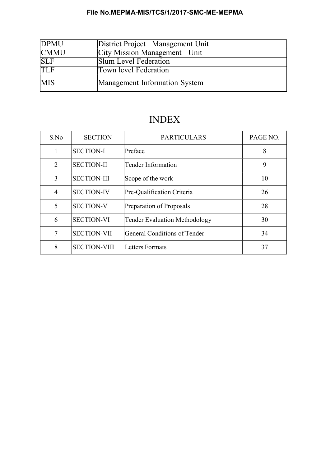| <b>DPMU</b> | District Project Management Unit    |
|-------------|-------------------------------------|
| <b>CMMU</b> | <b>City Mission Management</b> Unit |
| <b>SLF</b>  | Slum Level Federation               |
| <b>TLF</b>  | Town level Federation               |
| <b>MIS</b>  | Management Information System       |

## INDEX

| S.No           | <b>SECTION</b>      | <b>PARTICULARS</b>                   | PAGE NO. |
|----------------|---------------------|--------------------------------------|----------|
| 1              | <b>SECTION-I</b>    | Preface                              | 8        |
| $\overline{2}$ | <b>SECTION-II</b>   | Tender Information                   | 9        |
| 3              | <b>SECTION-III</b>  | Scope of the work                    | 10       |
| 4              | <b>SECTION-IV</b>   | Pre-Qualification Criteria           | 26       |
| 5              | <b>SECTION-V</b>    | Preparation of Proposals             | 28       |
| 6              | <b>SECTION-VI</b>   | <b>Tender Evaluation Methodology</b> | 30       |
| 7              | <b>SECTION-VII</b>  | General Conditions of Tender         | 34       |
| 8              | <b>SECTION-VIII</b> | <b>Letters Formats</b>               | 37       |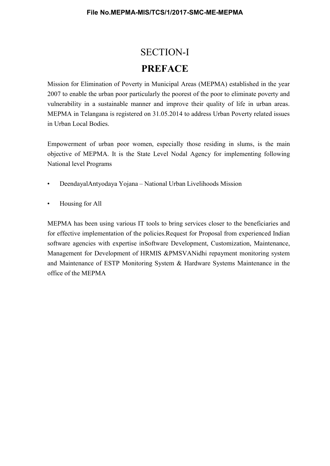# SECTION-I PREFACE

Mission for Elimination of Poverty in Municipal Areas (MEPMA) established in the year 2007 to enable the urban poor particularly the poorest of the poor to eliminate poverty and vulnerability in a sustainable manner and improve their quality of life in urban areas. MEPMA in Telangana is registered on 31.05.2014 to address Urban Poverty related issues in Urban Local Bodies.

Empowerment of urban poor women, especially those residing in slums, is the main objective of MEPMA. It is the State Level Nodal Agency for implementing following National level Programs

- DeendayalAntyodaya Yojana National Urban Livelihoods Mission
- Housing for All

MEPMA has been using various IT tools to bring services closer to the beneficiaries and for effective implementation of the policies.Request for Proposal from experienced Indian software agencies with expertise inSoftware Development, Customization, Maintenance, Management for Development of HRMIS &PMSVANidhi repayment monitoring system and Maintenance of ESTP Monitoring System & Hardware Systems Maintenance in the office of the MEPMA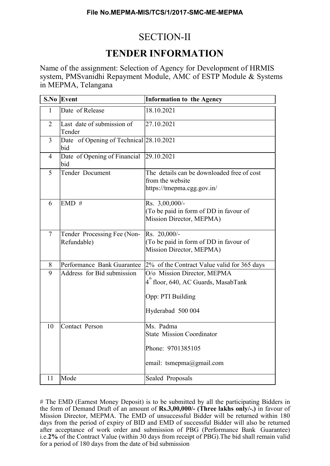## SECTION-II

## TENDER INFORMATION

Name of the assignment: Selection of Agency for Development of HRMIS system, PMSvanidhi Repayment Module, AMC of ESTP Module & Systems in MEPMA, Telangana

| S.No           | Event                                          | <b>Information to the Agency</b>                                                               |
|----------------|------------------------------------------------|------------------------------------------------------------------------------------------------|
| $\mathbf{1}$   | Date of Release                                | 18.10.2021                                                                                     |
| $\overline{2}$ | Last date of submission of<br>Tender           | 27.10.2021                                                                                     |
| 3              | Date of Opening of Technical 28.10.2021<br>bid |                                                                                                |
| $\overline{4}$ | Date of Opening of Financial<br>bid            | 29.10.2021                                                                                     |
| 5              | Tender Document                                | The details can be downloaded free of cost<br>from the website<br>https://tmepma.cgg.gov.in/   |
| 6              | EMD#                                           | Rs. 3,00,000/-<br>(To be paid in form of DD in favour of<br>Mission Director, MEPMA)           |
| $\overline{7}$ | Tender Processing Fee (Non-<br>Refundable)     | Rs. 20,000/-<br>(To be paid in form of DD in favour of<br>Mission Director, MEPMA)             |
| 8              | Performance Bank Guarantee                     | 2% of the Contract Value valid for 365 days                                                    |
| 9              | Address for Bid submission                     | O/o Mission Director, MEPMA                                                                    |
|                |                                                | 4 "floor, 640, AC Guards, MasabTank                                                            |
|                |                                                | Opp: PTI Building                                                                              |
|                |                                                | Hyderabad 500 004                                                                              |
| 10             | <b>Contact Person</b>                          | Ms. Padma<br><b>State Mission Coordinator</b><br>Phone: 9701385105<br>email: tsmepma@gmail.com |
| 11             | Mode                                           | Sealed Proposals                                                                               |

# The EMD (Earnest Money Deposit) is to be submitted by all the participating Bidders in the form of Demand Draft of an amount of Rs.3,00,000/- (Three lakhs only/-.) in favour of Mission Director, MEPMA. The EMD of unsuccessful Bidder will be returned within 180 days from the period of expiry of BID and EMD of successful Bidder will also be returned after acceptance of work order and submission of PBG (Performance Bank Guarantee) i.e.2% of the Contract Value (within 30 days from receipt of PBG).The bid shall remain valid for a period of 180 days from the date of bid submission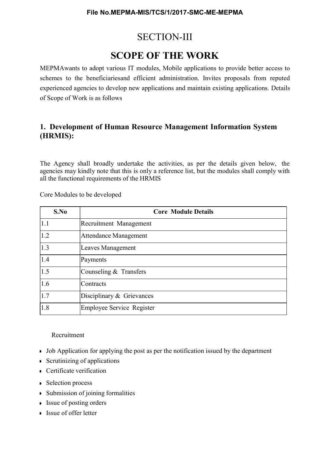## SECTION-III

## SCOPE OF THE WORK

MEPMAwants to adopt various IT modules, Mobile applications to provide better access to schemes to the beneficiariesand efficient administration. Invites proposals from reputed experienced agencies to develop new applications and maintain existing applications. Details of Scope of Work is as follows

## 1. Development of Human Resource Management Information System (HRMIS):

The Agency shall broadly undertake the activities, as per the details given below, the agencies may kindly note that this is only a reference list, but the modules shall comply with all the functional requirements of the HRMIS

Core Modules to be developed

| S.No | <b>Core Module Details</b>       |  |  |
|------|----------------------------------|--|--|
| 1.1  | Recruitment Management           |  |  |
| 1.2  | <b>Attendance Management</b>     |  |  |
| 1.3  | Leaves Management                |  |  |
| 1.4  | Payments                         |  |  |
| 1.5  | Counseling & Transfers           |  |  |
| 1.6  | Contracts                        |  |  |
| 1.7  | Disciplinary & Grievances        |  |  |
| 1.8  | <b>Employee Service Register</b> |  |  |

#### Recruitment

- Job Application for applying the post as per the notification issued by the department
- Scrutinizing of applications
- **Certificate verification**
- Selection process
- Submission of joining formalities
- Issue of posting orders
- **Issue of offer letter**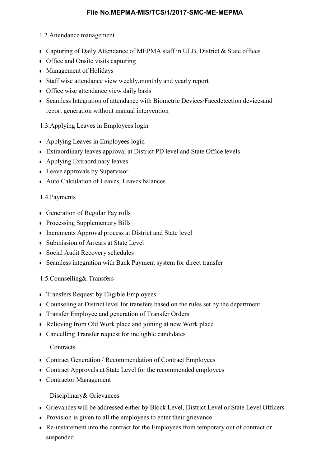#### 1.2.Attendance management

- Capturing of Daily Attendance of MEPMA staff in ULB, District & State offices
- Office and Onsite visits capturing
- Management of Holidays
- Staff wise attendance view weekly,monthly and yearly report
- Office wise attendance view daily basis
- Seamless Integration of attendance with Biometric Devices/Facedetection devicesand report generation without manual intervention

## 1.3.Applying Leaves in Employees login

- Applying Leaves in Employees login
- Extraordinary leaves approval at District PD level and State Office levels
- **Applying Extraordinary leaves**
- Leave approvals by Supervisor
- Auto Calculation of Leaves, Leaves balances

### 1.4.Payments

- Generation of Regular Pay rolls
- Processing Supplementary Bills
- **Increments Approval process at District and State level**
- Submission of Arrears at State Level
- Social Audit Recovery schedules
- Seamless integration with Bank Payment system for direct transfer
- 1.5.Counselling& Transfers
- **Transfers Request by Eligible Employees**
- Counseling at District level for transfers based on the rules set by the department
- **Transfer Employee and generation of Transfer Orders**
- Relieving from Old Work place and joining at new Work place
- Cancelling Transfer request for ineligible candidates

### **Contracts**

- Contract Generation / Recommendation of Contract Employees
- Contract Approvals at State Level for the recommended employees
- Contractor Management

### Disciplinary& Grievances

- Grievances will be addressed either by Block Level, District Level or State Level Officers
- Provision is given to all the employees to enter their grievance
- Re-instatement into the contract for the Employees from temporary out of contract or suspended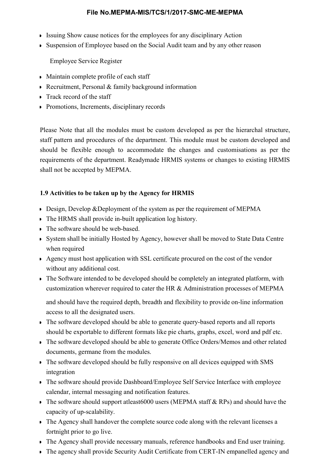- Issuing Show cause notices for the employees for any disciplinary Action
- Suspension of Employee based on the Social Audit team and by any other reason

Employee Service Register

- Maintain complete profile of each staff
- Recruitment, Personal & family background information
- Track record of the staff
- Promotions, Increments, disciplinary records

Please Note that all the modules must be custom developed as per the hierarchal structure, staff pattern and procedures of the department. This module must be custom developed and should be flexible enough to accommodate the changes and customisations as per the requirements of the department. Readymade HRMIS systems or changes to existing HRMIS shall not be accepted by MEPMA.

## 1.9 Activities to be taken up by the Agency for HRMIS

- Design, Develop &Deployment of the system as per the requirement of MEPMA
- The HRMS shall provide in-built application log history.
- The software should be web-based.
- System shall be initially Hosted by Agency, however shall be moved to State Data Centre when required
- Agency must host application with SSL certificate procured on the cost of the vendor without any additional cost.
- The Software intended to be developed should be completely an integrated platform, with customization wherever required to cater the HR & Administration processes of MEPMA

and should have the required depth, breadth and flexibility to provide on-line information access to all the designated users.

- The software developed should be able to generate query-based reports and all reports should be exportable to different formats like pie charts, graphs, excel, word and pdf etc.
- The software developed should be able to generate Office Orders/Memos and other related documents, germane from the modules.
- The software developed should be fully responsive on all devices equipped with SMS integration
- The software should provide Dashboard/Employee Self Service Interface with employee calendar, internal messaging and notification features.
- The software should support atleast 6000 users (MEPMA staff & RPs) and should have the capacity of up-scalability.
- The Agency shall handover the complete source code along with the relevant licenses a fortnight prior to go live.
- The Agency shall provide necessary manuals, reference handbooks and End user training.
- The agency shall provide Security Audit Certificate from CERT-IN empanelled agency and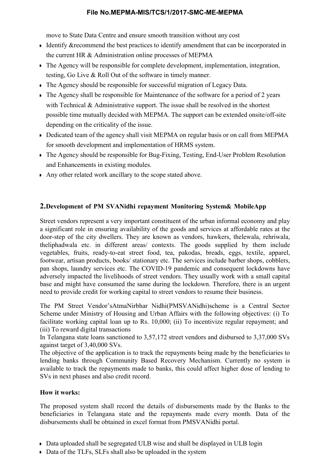move to State Data Centre and ensure smooth transition without any cost

- Identify & recommend the best practices to identify amendment that can be incorporated in the current HR & Administration online processes of MEPMA
- The Agency will be responsible for complete development, implementation, integration, testing, Go Live & Roll Out of the software in timely manner.
- The Agency should be responsible for successful migration of Legacy Data.
- The Agency shall be responsible for Maintenance of the software for a period of 2 years with Technical & Administrative support. The issue shall be resolved in the shortest possible time mutually decided with MEPMA. The support can be extended onsite/off-site depending on the criticality of the issue.
- Dedicated team of the agency shall visit MEPMA on regular basis or on call from MEPMA for smooth development and implementation of HRMS system.
- The Agency should be responsible for Bug-Fixing, Testing, End-User Problem Resolution and Enhancements in existing modules.
- Any other related work ancillary to the scope stated above.

## 2.Development of PM SVANidhi repayment Monitoring System& Mobile App

Street vendors represent a very important constituent of the urban informal economy and play a significant role in ensuring availability of the goods and services at affordable rates at the door-step of the city dwellers. They are known as vendors, hawkers, thelewala, rehriwala, theliphadwala etc. in different areas/ contexts. The goods supplied by them include vegetables, fruits, ready-to-eat street food, tea, pakodas, breads, eggs, textile, apparel, footwear, artisan products, books/ stationary etc. The services include barber shops, cobblers, pan shops, laundry services etc. The COVID-19 pandemic and consequent lockdowns have adversely impacted the livelihoods of street vendors. They usually work with a small capital base and might have consumed the same during the lockdown. Therefore, there is an urgent need to provide credit for working capital to street vendors to resume their business.

The PM Street Vendor'sAtmaNirbhar Nidhi(PMSVANidhi)scheme is a Central Sector Scheme under Ministry of Housing and Urban Affairs with the following objectives: (i) To facilitate working capital loan up to Rs. 10,000; (ii) To incentivize regular repayment; and (iii) To reward digital transactions

In Telangana state loans sanctioned to 3,57,172 street vendors and disbursed to 3,37,000 SVs against target of 3,40,000 SVs.

The objective of the application is to track the repayments being made by the beneficiaries to lending banks through Community Based Recovery Mechanism. Currently no system is available to track the repayments made to banks, this could affect higher dose of lending to SVs in next phases and also credit record.

#### How it works:

The proposed system shall record the details of disbursements made by the Banks to the beneficiaries in Telangana state and the repayments made every month. Data of the disbursements shall be obtained in excel format from PMSVANidhi portal.

- Data uploaded shall be segregated ULB wise and shall be displayed in ULB login
- Data of the TLFs, SLFs shall also be uploaded in the system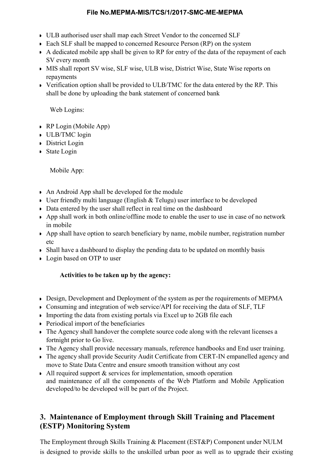- ULB authorised user shall map each Street Vendor to the concerned SLF
- Each SLF shall be mapped to concerned Resource Person (RP) on the system
- A dedicated mobile app shall be given to RP for entry of the data of the repayment of each SV every month
- MIS shall report SV wise, SLF wise, ULB wise, District Wise, State Wise reports on repayments
- Verification option shall be provided to ULB/TMC for the data entered by the RP. This shall be done by uploading the bank statement of concerned bank

Web Logins:

- RP Login (Mobile App)
- ULB/TMC login
- **District Login**
- State Login

Mobile App:

- An Android App shall be developed for the module
- User friendly multi language (English  $&$  Telugu) user interface to be developed
- Data entered by the user shall reflect in real time on the dashboard
- App shall work in both online/offline mode to enable the user to use in case of no network in mobile
- App shall have option to search beneficiary by name, mobile number, registration number etc
- Shall have a dashboard to display the pending data to be updated on monthly basis
- Login based on OTP to user

## Activities to be taken up by the agency:

- Design, Development and Deployment of the system as per the requirements of MEPMA
- Consuming and integration of web service/API for receiving the data of SLF, TLF
- Importing the data from existing portals via Excel up to 2GB file each
- **Periodical import of the beneficiaries**
- The Agency shall handover the complete source code along with the relevant licenses a fortnight prior to Go live.
- The Agency shall provide necessary manuals, reference handbooks and End user training.
- The agency shall provide Security Audit Certificate from CERT-IN empanelled agency and move to State Data Centre and ensure smooth transition without any cost
- $\blacktriangleright$  All required support & services for implementation, smooth operation and maintenance of all the components of the Web Platform and Mobile Application developed/to be developed will be part of the Project.

## 3. Maintenance of Employment through Skill Training and Placement (ESTP) Monitoring System

The Employment through Skills Training & Placement (EST&P) Component under NULM is designed to provide skills to the unskilled urban poor as well as to upgrade their existing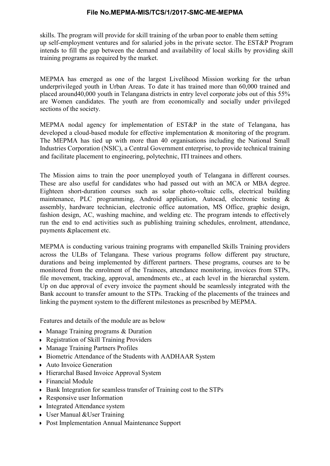skills. The program will provide for skill training of the urban poor to enable them setting up self-employment ventures and for salaried jobs in the private sector. The EST&P Program intends to fill the gap between the demand and availability of local skills by providing skill training programs as required by the market.

MEPMA has emerged as one of the largest Livelihood Mission working for the urban underprivileged youth in Urban Areas. To date it has trained more than 60,000 trained and placed around40,000 youth in Telangana districts in entry level corporate jobs out of this 55% are Women candidates. The youth are from economically and socially under privileged sections of the society.

MEPMA nodal agency for implementation of EST&P in the state of Telangana, has developed a cloud-based module for effective implementation & monitoring of the program. The MEPMA has tied up with more than 40 organisations including the National Small Industries Corporation (NSIC), a Central Government enterprise, to provide technical training and facilitate placement to engineering, polytechnic, ITI trainees and others.

The Mission aims to train the poor unemployed youth of Telangana in different courses. These are also useful for candidates who had passed out with an MCA or MBA degree. Eighteen short-duration courses such as solar photo-voltaic cells, electrical building maintenance, PLC programming, Android application, Autocad, electronic testing & assembly, hardware technician, electronic office automation, MS Office, graphic design, fashion design, AC, washing machine, and welding etc. The program intends to effectively run the end to end activities such as publishing training schedules, enrolment, attendance, payments &placement etc.

MEPMA is conducting various training programs with empanelled Skills Training providers across the ULBs of Telangana. These various programs follow different pay structure, durations and being implemented by different partners. These programs, courses are to be monitored from the enrolment of the Trainees, attendance monitoring, invoices from STPs, file movement, tracking, approval, amendments etc., at each level in the hierarchal system. Up on due approval of every invoice the payment should be seamlessly integrated with the Bank account to transfer amount to the STPs. Tracking of the placements of the trainees and linking the payment system to the different milestones as prescribed by MEPMA.

Features and details of the module are as below

- Manage Training programs & Duration
- Registration of Skill Training Providers
- Manage Training Partners Profiles
- Biometric Attendance of the Students with AADHAAR System
- Auto Invoice Generation
- Hierarchal Based Invoice Approval System
- Financial Module
- Bank Integration for seamless transfer of Training cost to the STPs
- Responsive user Information
- **Integrated Attendance system**
- User Manual &User Training
- Post Implementation Annual Maintenance Support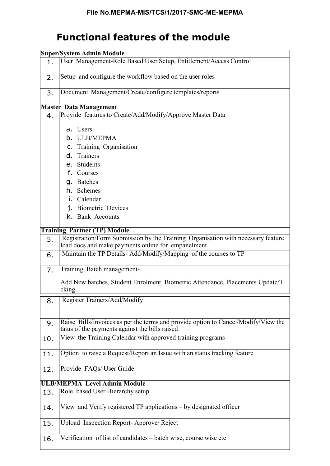## Functional features of the module

|     | <b>Super/System Admin Module</b>                                                                                                     |  |  |  |
|-----|--------------------------------------------------------------------------------------------------------------------------------------|--|--|--|
| 1.  | User Management-Role Based User Setup, Entitlement/Access Control                                                                    |  |  |  |
| 2.  | Setup and configure the workflow based on the user roles                                                                             |  |  |  |
| 3.  | Document Management/Create/configure templates/reports                                                                               |  |  |  |
|     | <b>Master Data Management</b>                                                                                                        |  |  |  |
| 4.  | Provide features to Create/Add/Modify/Approve Master Data                                                                            |  |  |  |
|     | a. Users                                                                                                                             |  |  |  |
|     | b. ULB/MEPMA                                                                                                                         |  |  |  |
|     | C. Training Organisation                                                                                                             |  |  |  |
|     | d. Trainers                                                                                                                          |  |  |  |
|     | e. Students                                                                                                                          |  |  |  |
|     | f. Courses                                                                                                                           |  |  |  |
|     | q. Batches                                                                                                                           |  |  |  |
|     | h. Schemes                                                                                                                           |  |  |  |
|     | i. Calendar                                                                                                                          |  |  |  |
|     | j. Biometric Devices                                                                                                                 |  |  |  |
|     | k. Bank Accounts                                                                                                                     |  |  |  |
|     | <b>Training Partner (TP) Module</b>                                                                                                  |  |  |  |
| 5.  | Registration/Form Submission by the Training Organisation with necessary feature                                                     |  |  |  |
|     | load docs and make payments online for empanelment                                                                                   |  |  |  |
| 6.  | Maintain the TP Details-Add/Modify/Mapping of the courses to TP                                                                      |  |  |  |
| 7.  | Training Batch management-                                                                                                           |  |  |  |
|     | Add New batches, Student Enrolment, Biometric Attendance, Placements Update/T<br>cking                                               |  |  |  |
| 8.  | Register Trainers/Add/Modify                                                                                                         |  |  |  |
| 9.  | Raise Bills/Invoices as per the terms and provide option to Cancel/Modify/View the<br>tatus of the payments against the bills raised |  |  |  |
| 10. | View the Training Calendar with approved training programs                                                                           |  |  |  |
| 11. | Option to raise a Request/Report an Issue with an status tracking feature                                                            |  |  |  |
| 12. | Provide FAQs/ User Guide                                                                                                             |  |  |  |
|     | <b>ULB/MEPMA Level Admin Module</b>                                                                                                  |  |  |  |
| 13. | Role based User Hierarchy setup                                                                                                      |  |  |  |
| 14. | View and Verify registered TP applications – by designated officer                                                                   |  |  |  |
| 15. | Upload Inspection Report-Approve/Reject                                                                                              |  |  |  |
| 16. | Verification of list of candidates - batch wise, course wise etc                                                                     |  |  |  |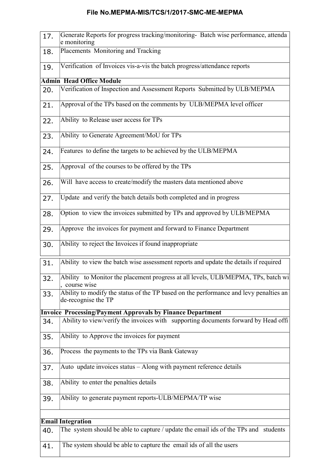| 17. | Generate Reports for progress tracking/monitoring- Batch wise performance, attenda<br>e monitoring           |  |  |
|-----|--------------------------------------------------------------------------------------------------------------|--|--|
| 18. | Placements Monitoring and Tracking                                                                           |  |  |
| 19. | Verification of Invoices vis-a-vis the batch progress/attendance reports                                     |  |  |
|     | <b>Admin Head Office Module</b>                                                                              |  |  |
| 20. | Verification of Inspection and Assessment Reports Submitted by ULB/MEPMA                                     |  |  |
| 21. | Approval of the TPs based on the comments by ULB/MEPMA level officer                                         |  |  |
| 22. | Ability to Release user access for TPs                                                                       |  |  |
| 23. | Ability to Generate Agreement/MoU for TPs                                                                    |  |  |
| 24. | Features to define the targets to be achieved by the ULB/MEPMA                                               |  |  |
| 25. | Approval of the courses to be offered by the TPs                                                             |  |  |
| 26. | Will have access to create/modify the masters data mentioned above                                           |  |  |
| 27. | Update and verify the batch details both completed and in progress                                           |  |  |
| 28. | Option to view the invoices submitted by TPs and approved by ULB/MEPMA                                       |  |  |
| 29. | Approve the invoices for payment and forward to Finance Department                                           |  |  |
| 30. | Ability to reject the Invoices if found inappropriate                                                        |  |  |
| 31. | Ability to view the batch wise assessment reports and update the details if required                         |  |  |
| 32. | Ability to Monitor the placement progress at all levels, ULB/MEPMA, TPs, batch wi<br>, course wise           |  |  |
| 33. | Ability to modify the status of the TP based on the performance and levy penalties an<br>de-recognise the TP |  |  |
|     | <b>Invoice Processing/Payment Approvals by Finance Department</b>                                            |  |  |
| 34. | Ability to view/verify the invoices with supporting documents forward by Head offi                           |  |  |
| 35. | Ability to Approve the invoices for payment                                                                  |  |  |
| 36. | Process the payments to the TPs via Bank Gateway                                                             |  |  |
| 37. | Auto update invoices status - Along with payment reference details                                           |  |  |
| 38. | Ability to enter the penalties details                                                                       |  |  |
| 39. | Ability to generate payment reports-ULB/MEPMA/TP wise                                                        |  |  |
|     |                                                                                                              |  |  |
|     | <b>Email Integration</b>                                                                                     |  |  |
| 40. | The system should be able to capture / update the email ids of the TPs and students                          |  |  |
| 41. | The system should be able to capture the email ids of all the users                                          |  |  |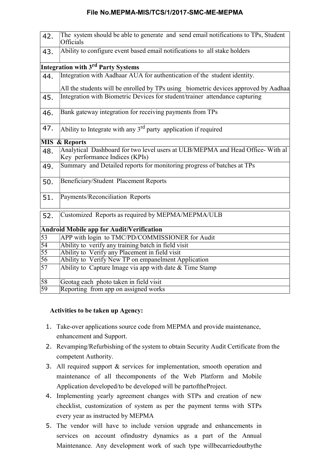| 42.             | The system should be able to generate and send email notifications to TPs, Student<br>Officials |
|-----------------|-------------------------------------------------------------------------------------------------|
| 43.             | Ability to configure event based email notifications to all stake holders                       |
|                 | <b>Integration with 3<sup>rd</sup> Party Systems</b>                                            |
| 44.             | Integration with Aadhaar AUA for authentication of the student identity.                        |
|                 | All the students will be enrolled by TPs using biometric devices approved by Aadhaa             |
| 45.             | Integration with Biometric Devices for student/trainer attendance capturing                     |
|                 |                                                                                                 |
| 46.             | Bank gateway integration for receiving payments from TPs                                        |
|                 |                                                                                                 |
| 47.             | Ability to Integrate with any $3rd$ party application if required                               |
|                 | <b>MIS &amp; Reports</b>                                                                        |
|                 | Analytical Dashboard for two level users at ULB/MEPMA and Head Office-With al                   |
| 48.             | Key performance Indices (KPIs)                                                                  |
| 49.             | Summary and Detailed reports for monitoring progress of batches at TPs                          |
| 50.             | Beneficiary/Student Placement Reports                                                           |
| 51.             | Payments/Reconciliation Reports                                                                 |
|                 |                                                                                                 |
| 52.             | Customized Reports as required by MEPMA/MEPMA/ULB                                               |
|                 | <b>Android Mobile app for Audit/Verification</b>                                                |
| $\overline{53}$ | APP with login to TMC/PD/COMMISSIONER for Audit                                                 |
| 54              | Ability to verify any training batch in field visit                                             |
| 55              | Ability to Verify any Placement in field visit                                                  |
| 56              | Ability to Verify New TP on empanelment Application                                             |
| $\overline{57}$ | Ability to Capture Image via app with date & Time Stamp                                         |
| 58              | Geotag each photo taken in field visit                                                          |
| 59              | Reporting from app on assigned works                                                            |

### Activities to be taken up Agency:

- 1. Take-over applications source code from MEPMA and provide maintenance, enhancement and Support.
- 2. Revamping/Refurbishing of the system to obtain Security Audit Certificate from the competent Authority.
- 3. All required support & services for implementation, smooth operation and maintenance of all thecomponents of the Web Platform and Mobile Application developed/to be developed will be partoftheProject.
- 4. Implementing yearly agreement changes with STPs and creation of new checklist, customization of system as per the payment terms with STPs every year as instructed by MEPMA
- 5. The vendor will have to include version upgrade and enhancements in services on account ofindustry dynamics as a part of the Annual Maintenance. Any development work of such type willbecarriedoutbythe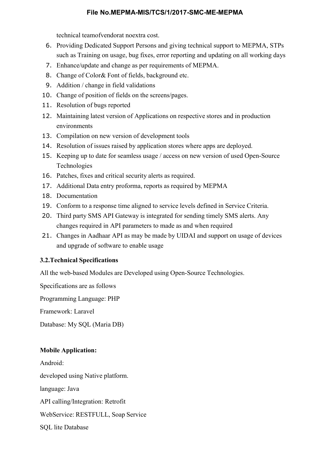technical teamofvendorat noextra cost.

- 6. Providing Dedicated Support Persons and giving technical support to MEPMA, STPs such as Training on usage, bug fixes, error reporting and updating on all working days
- 7. Enhance/update and change as per requirements of MEPMA.
- 8. Change of Color& Font of fields, background etc.
- 9. Addition / change in field validations
- 10. Change of position of fields on the screens/pages.
- 11. Resolution of bugs reported
- 12. Maintaining latest version of Applications on respective stores and in production environments
- 13. Compilation on new version of development tools
- 14. Resolution of issues raised by application stores where apps are deployed.
- 15. Keeping up to date for seamless usage / access on new version of used Open-Source Technologies
- 16. Patches, fixes and critical security alerts as required.
- 17. Additional Data entry proforma, reports as required by MEPMA
- 18. Documentation
- 19. Conform to a response time aligned to service levels defined in Service Criteria.
- 20. Third party SMS API Gateway is integrated for sending timely SMS alerts. Any changes required in API parameters to made as and when required
- 21. Changes in Aadhaar API as may be made by UIDAI and support on usage of devices and upgrade of software to enable usage

#### 3.2.Technical Specifications

All the web-based Modules are Developed using Open-Source Technologies.

Specifications are as follows

Programming Language: PHP

Framework: Laravel

Database: My SQL (Maria DB)

#### Mobile Application:

Android: developed using Native platform. language: Java API calling/Integration: Retrofit WebService: RESTFULL, Soap Service SQL lite Database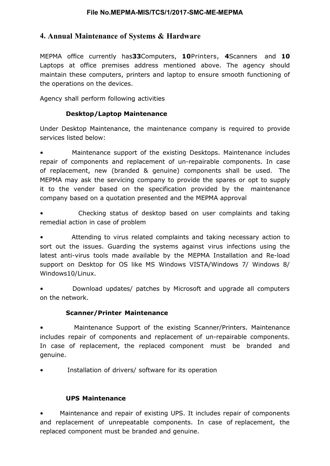## 4. Annual Maintenance of Systems & Hardware

MEPMA office currently has33Computers, 10Printers, 4Scanners and 10 Laptops at office premises address mentioned above. The agency should maintain these computers, printers and laptop to ensure smooth functioning of the operations on the devices.

Agency shall perform following activities

### Desktop/Laptop Maintenance

Under Desktop Maintenance, the maintenance company is required to provide services listed below:

• Maintenance support of the existing Desktops. Maintenance includes repair of components and replacement of un-repairable components. In case of replacement, new (branded & genuine) components shall be used. The MEPMA may ask the servicing company to provide the spares or opt to supply it to the vender based on the specification provided by the maintenance company based on a quotation presented and the MEPMA approval

• Checking status of desktop based on user complaints and taking remedial action in case of problem

• Attending to virus related complaints and taking necessary action to sort out the issues. Guarding the systems against virus infections using the latest anti-virus tools made available by the MEPMA Installation and Re-load support on Desktop for OS like MS Windows VISTA/Windows 7/ Windows 8/ Windows10/Linux.

• Download updates/ patches by Microsoft and upgrade all computers on the network.

#### Scanner/Printer Maintenance

• Maintenance Support of the existing Scanner/Printers. Maintenance includes repair of components and replacement of un-repairable components. In case of replacement, the replaced component must be branded and genuine.

Installation of drivers/ software for its operation

### UPS Maintenance

• Maintenance and repair of existing UPS. It includes repair of components and replacement of unrepeatable components. In case of replacement, the replaced component must be branded and genuine.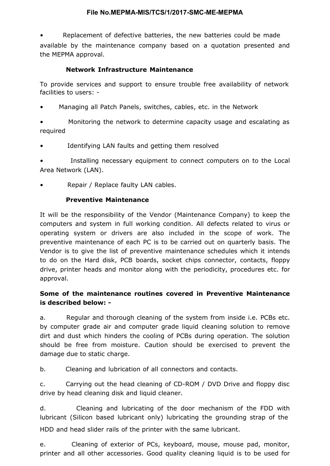• Replacement of defective batteries, the new batteries could be made available by the maintenance company based on a quotation presented and the MEPMA approval.

### Network Infrastructure Maintenance

To provide services and support to ensure trouble free availability of network facilities to users: -

• Managing all Patch Panels, switches, cables, etc. in the Network

• Monitoring the network to determine capacity usage and escalating as required

Identifying LAN faults and getting them resolved

Installing necessary equipment to connect computers on to the Local Area Network (LAN).

Repair / Replace faulty LAN cables.

### Preventive Maintenance

It will be the responsibility of the Vendor (Maintenance Company) to keep the computers and system in full working condition. All defects related to virus or operating system or drivers are also included in the scope of work. The preventive maintenance of each PC is to be carried out on quarterly basis. The Vendor is to give the list of preventive maintenance schedules which it intends to do on the Hard disk, PCB boards, socket chips connector, contacts, floppy drive, printer heads and monitor along with the periodicity, procedures etc. for approval.

## Some of the maintenance routines covered in Preventive Maintenance is described below: -

a. Regular and thorough cleaning of the system from inside i.e. PCBs etc. by computer grade air and computer grade liquid cleaning solution to remove dirt and dust which hinders the cooling of PCBs during operation. The solution should be free from moisture. Caution should be exercised to prevent the damage due to static charge.

b. Cleaning and lubrication of all connectors and contacts.

c. Carrying out the head cleaning of CD-ROM / DVD Drive and floppy disc drive by head cleaning disk and liquid cleaner.

d. Cleaning and lubricating of the door mechanism of the FDD with lubricant (Silicon based lubricant only) lubricating the grounding strap of the HDD and head slider rails of the printer with the same lubricant.

e. Cleaning of exterior of PCs, keyboard, mouse, mouse pad, monitor, printer and all other accessories. Good quality cleaning liquid is to be used for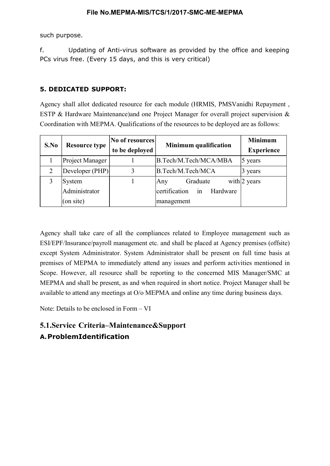such purpose.

f. Updating of Anti-virus software as provided by the office and keeping PCs virus free. (Every 15 days, and this is very critical)

### 5. DEDICATED SUPPORT:

Agency shall allot dedicated resource for each module (HRMIS, PMSVanidhi Repayment , ESTP & Hardware Maintenance)and one Project Manager for overall project supervision & Coordination with MEPMA. Qualifications of the resources to be deployed are as follows:

| S.No           | <b>Resource type</b> | No of resources | <b>Minimum qualification</b> | <b>Minimum</b>    |
|----------------|----------------------|-----------------|------------------------------|-------------------|
|                |                      | to be deployed  |                              | <b>Experience</b> |
|                | Project Manager      |                 | B.Tech/M.Tech/MCA/MBA        | 5 years           |
| $\overline{2}$ | Developer (PHP)      |                 | B.Tech/M.Tech/MCA            | 3 years           |
|                | System               |                 | Graduate<br>Any              | with $2$ years    |
|                | Administrator        |                 | certification in<br>Hardware |                   |
|                | (on site)            |                 | management                   |                   |

Agency shall take care of all the compliances related to Employee management such as ESI/EPF/Insurance/payroll management etc. and shall be placed at Agency premises (offsite) except System Administrator. System Administrator shall be present on full time basis at premises of MEPMA to immediately attend any issues and perform activities mentioned in Scope. However, all resource shall be reporting to the concerned MIS Manager/SMC at MEPMA and shall be present, as and when required in short notice. Project Manager shall be available to attend any meetings at O/o MEPMA and online any time during business days.

Note: Details to be enclosed in Form – VI

## 5.1.Service Criteria–Maintenance&Support A.ProblemIdentification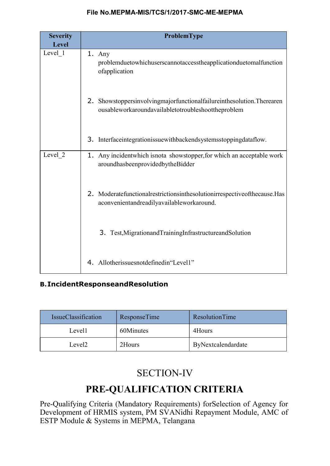| <b>Severity</b><br><b>Level</b> | ProblemType                                                                                                                  |  |  |
|---------------------------------|------------------------------------------------------------------------------------------------------------------------------|--|--|
| Level 1                         | 1. Any<br>problemduetowhichuserscannotaccesstheapplicationduetomalfunction<br>ofapplication                                  |  |  |
|                                 | 2. Showstoppersinvolvingmajorfunctionalfailureinthesolution. Therearen<br>ousableworkaroundavailabletotroubleshoottheproblem |  |  |
|                                 | 3. Interfaceintegrationissue with backends y stems stopping data flow.                                                       |  |  |
| Level 2                         | 1. Any incident which is not a shows to pper, for which an acceptable work<br>aroundhasbeenprovidedbytheBidder               |  |  |
|                                 | 2. Moderatefunctionalrestrictionsinthesolutionirrespective of the cause. Has<br>aconvenientandreadilyavailableworkaround.    |  |  |
|                                 | 3. Test, Migration and Training Infrastructure and Solution                                                                  |  |  |
|                                 | 4. Allotherissuesnotdefinedin"Level1"                                                                                        |  |  |

## B.IncidentResponseandResolution

| <b>IssueClassification</b> | <b>ResponseTime</b> | ResolutionTime     |
|----------------------------|---------------------|--------------------|
| Level1                     | 60Minutes           | 4Hours             |
| Level <sub>2</sub>         | 2Hours              | ByNextcalendardate |

## SECTION-IV

## PRE-QUALIFICATION CRITERIA

Pre-Qualifying Criteria (Mandatory Requirements) forSelection of Agency for Development of HRMIS system, PM SVANidhi Repayment Module, AMC of ESTP Module & Systems in MEPMA, Telangana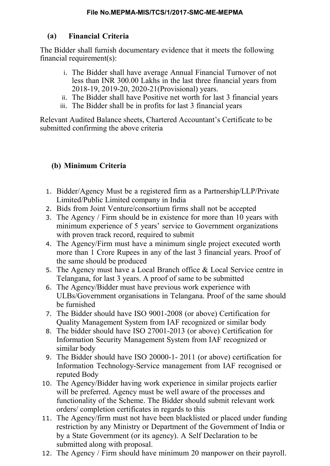## (a) Financial Criteria

The Bidder shall furnish documentary evidence that it meets the following financial requirement(s):

- i. The Bidder shall have average Annual Financial Turnover of not less than INR 300.00 Lakhs in the last three financial years from 2018-19, 2019-20, 2020-21(Provisional) years.
- ii. The Bidder shall have Positive net worth for last 3 financial years
- iii. The Bidder shall be in profits for last 3 financial years

Relevant Audited Balance sheets, Chartered Accountant's Certificate to be submitted confirming the above criteria

## (b) Minimum Criteria

- 1. Bidder/Agency Must be a registered firm as a Partnership/LLP/Private Limited/Public Limited company in India
- 2. Bids from Joint Venture/consortium firms shall not be accepted
- 3. The Agency / Firm should be in existence for more than 10 years with minimum experience of 5 years' service to Government organizations with proven track record, required to submit
- 4. The Agency/Firm must have a minimum single project executed worth more than 1 Crore Rupees in any of the last 3 financial years. Proof of the same should be produced
- 5. The Agency must have a Local Branch office & Local Service centre in Telangana, for last 3 years. A proof of same to be submitted
- 6. The Agency/Bidder must have previous work experience with ULBs/Government organisations in Telangana. Proof of the same should be furnished
- 7. The Bidder should have ISO 9001-2008 (or above) Certification for Quality Management System from IAF recognized or similar body
- 8. The bidder should have ISO 27001-2013 (or above) Certification for Information Security Management System from IAF recognized or similar body
- 9. The Bidder should have ISO 20000-1- 2011 (or above) certification for Information Technology-Service management from IAF recognised or reputed Body
- 10. The Agency/Bidder having work experience in similar projects earlier will be preferred. Agency must be well aware of the processes and functionality of the Scheme. The Bidder should submit relevant work orders/ completion certificates in regards to this
- 11. The Agency/firm must not have been blacklisted or placed under funding restriction by any Ministry or Department of the Government of India or by a State Government (or its agency). A Self Declaration to be submitted along with proposal.
- 12. The Agency / Firm should have minimum 20 manpower on their payroll.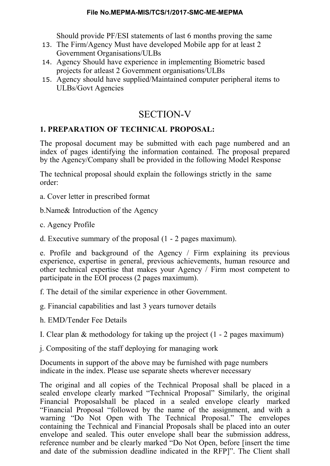Should provide PF/ESI statements of last 6 months proving the same

- 13. The Firm/Agency Must have developed Mobile app for at least 2 Government Organisations/ULBs
- 14. Agency Should have experience in implementing Biometric based projects for atleast 2 Government organisations/ULBs
- 15. Agency should have supplied/Maintained computer peripheral items to ULBs/Govt Agencies

## SECTION-V

## 1. PREPARATION OF TECHNICAL PROPOSAL:

The proposal document may be submitted with each page numbered and an index of pages identifying the information contained. The proposal prepared by the Agency/Company shall be provided in the following Model Response

The technical proposal should explain the followings strictly in the same order:

a. Cover letter in prescribed format

b.Name& Introduction of the Agency

c. Agency Profile

d. Executive summary of the proposal (1 - 2 pages maximum).

e. Profile and background of the Agency / Firm explaining its previous experience, expertise in general, previous achievements, human resource and other technical expertise that makes your Agency / Firm most competent to participate in the EOI process (2 pages maximum).

f. The detail of the similar experience in other Government.

g. Financial capabilities and last 3 years turnover details

h. EMD/Tender Fee Details

I. Clear plan & methodology for taking up the project (1 - 2 pages maximum)

j. Compositing of the staff deploying for managing work

Documents in support of the above may be furnished with page numbers indicate in the index. Please use separate sheets wherever necessary

The original and all copies of the Technical Proposal shall be placed in a sealed envelope clearly marked "Technical Proposal" Similarly, the original Financial Proposalshall be placed in a sealed envelope clearly marked "Financial Proposal "followed by the name of the assignment, and with a warning "Do Not Open with The Technical Proposal." The envelopes containing the Technical and Financial Proposals shall be placed into an outer envelope and sealed. This outer envelope shall bear the submission address, reference number and be clearly marked "Do Not Open, before [insert the time and date of the submission deadline indicated in the RFP]". The Client shall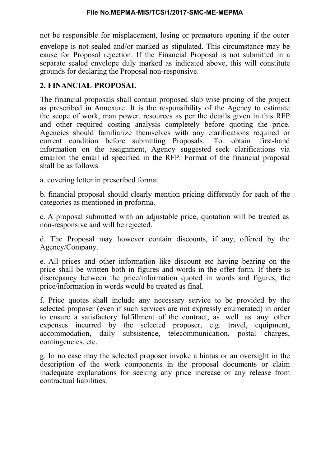not be responsible for misplacement, losing or premature opening if the outer envelope is not sealed and/or marked as stipulated. This circumstance may be cause for Proposal rejection. If the Financial Proposal is not submitted in a separate sealed envelope duly marked as indicated above, this will constitute grounds for declaring the Proposal non-responsive.

## 2. FINANCIAL PROPOSAL

The financial proposals shall contain proposed slab wise pricing of the project as prescribed in Annexure. It is the responsibility of the Agency to estimate the scope of work, man power, resources as per the details given in this RFP and other required costing analysis completely before quoting the price. Agencies should familiarize themselves with any clarifications required or current condition before submitting Proposals. To obtain first-hand information on the assignment, Agency suggested seek clarifications via email on the email id specified in the RFP. Format of the financial proposal shall be as follows

a. covering letter in prescribed format

b. financial proposal should clearly mention pricing differently for each of the categories as mentioned in proforma.

c. A proposal submitted with an adjustable price, quotation will be treated as non-responsive and will be rejected.

d. The Proposal may however contain discounts, if any, offered by the Agency/Company.

e. All prices and other information like discount etc having bearing on the price shall be written both in figures and words in the offer form. If there is discrepancy between the price/information quoted in words and figures, the price/information in words would be treated as final.

f. Price quotes shall include any necessary service to be provided by the selected proposer (even if such services are not expressly enumerated) in order to ensure a satisfactory fulfillment of the contract, as well as any other expenses incurred by the selected proposer, e.g. travel, equipment, accommodation, daily subsistence, telecommunication, postal charges, contingencies, etc.

g. In no case may the selected proposer invoke a hiatus or an oversight in the description of the work components in the proposal documents or claim inadequate explanations for seeking any price increase or any release from contractual liabilities.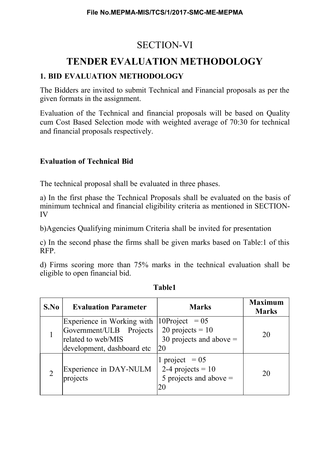## SECTION-VI

## TENDER EVALUATION METHODOLOGY

## 1. BID EVALUATION METHODOLOGY

The Bidders are invited to submit Technical and Financial proposals as per the given formats in the assignment.

Evaluation of the Technical and financial proposals will be based on Quality cum Cost Based Selection mode with weighted average of 70:30 for technical and financial proposals respectively.

## Evaluation of Technical Bid

The technical proposal shall be evaluated in three phases.

a) In the first phase the Technical Proposals shall be evaluated on the basis of minimum technical and financial eligibility criteria as mentioned in SECTION-IV

b)Agencies Qualifying minimum Criteria shall be invited for presentation

c) In the second phase the firms shall be given marks based on Table:1 of this RFP.

d) Firms scoring more than 75% marks in the technical evaluation shall be eligible to open financial bid.

| S.No | <b>Evaluation Parameter</b>                                                                                                         | <b>Marks</b>                                                              | <b>Maximum</b><br><b>Marks</b> |
|------|-------------------------------------------------------------------------------------------------------------------------------------|---------------------------------------------------------------------------|--------------------------------|
|      | Experience in Working with $ 10\text{Project} = 05 $<br>Government/ULB Projects<br>related to web/MIS<br>development, dashboard etc | 20 projects = $10$<br>30 projects and above $=$<br>20                     | 20                             |
|      | Experience in DAY-NULM<br>projects                                                                                                  | 1 project = $05$<br>2-4 projects = $10$<br>5 projects and above $=$<br>20 | 20                             |

Table1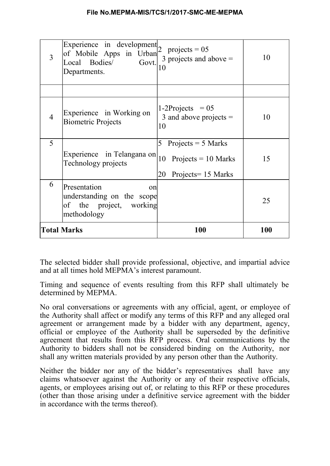| 3                  | Experience in development $2$<br>of Mobile Apps in Urban<br>Local Bodies/<br>Govt.<br>Departments. | projects = $05$<br>3 projects and above $=$<br>10                                     | 10  |
|--------------------|----------------------------------------------------------------------------------------------------|---------------------------------------------------------------------------------------|-----|
|                    |                                                                                                    |                                                                                       |     |
| $\overline{4}$     | Experience in Working on<br><b>Biometric Projects</b>                                              | $1-2$ Projects = 05<br>3 and above projects $=$<br>10                                 | 10  |
| 5                  | Experience in Telangana on<br>Technology projects                                                  | 5<br>Projects $=$ 5 Marks<br>10<br>Projects = $10$ Marks<br>20<br>Projects = 15 Marks | 15  |
| 6                  | Presentation<br>on<br>understanding on the scope<br>of the project, working<br>methodology         |                                                                                       | 25  |
| <b>Total Marks</b> |                                                                                                    | 100                                                                                   | 100 |

The selected bidder shall provide professional, objective, and impartial advice and at all times hold MEPMA's interest paramount.

Timing and sequence of events resulting from this RFP shall ultimately be determined by MEPMA.

No oral conversations or agreements with any official, agent, or employee of the Authority shall affect or modify any terms of this RFP and any alleged oral agreement or arrangement made by a bidder with any department, agency, official or employee of the Authority shall be superseded by the definitive agreement that results from this RFP process. Oral communications by the Authority to bidders shall not be considered binding on the Authority, nor shall any written materials provided by any person other than the Authority.

Neither the bidder nor any of the bidder's representatives shall have any claims whatsoever against the Authority or any of their respective officials, agents, or employees arising out of, or relating to this RFP or these procedures (other than those arising under a definitive service agreement with the bidder in accordance with the terms thereof).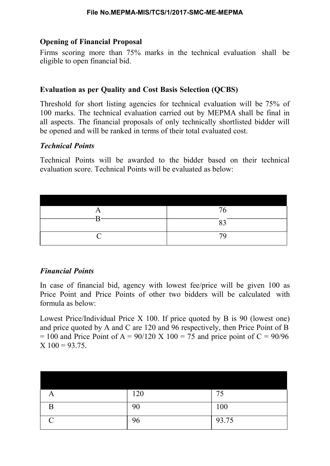## Opening of Financial Proposal

Firms scoring more than 75% marks in the technical evaluation shall be eligible to open financial bid.

## Evaluation as per Quality and Cost Basis Selection (QCBS)

Threshold for short listing agencies for technical evaluation will be 75% of 100 marks. The technical evaluation carried out by MEPMA shall be final in all aspects. The financial proposals of only technically shortlisted bidder will be opened and will be ranked in terms of their total evaluated cost.

## Technical Points

Technical Points will be awarded to the bidder based on their technical evaluation score. Technical Points will be evaluated as below:

| 76 |
|----|
|    |
|    |
| 70 |

## Financial Points

In case of financial bid, agency with lowest fee/price will be given 100 as Price Point and Price Points of other two bidders will be calculated with formula as below:

Lowest Price/Individual Price X 100. If price quoted by B is 90 (lowest one) and price quoted by A and C are 120 and 96 respectively, then Price Point of B  $= 100$  and Price Point of A = 90/120 X 100 = 75 and price point of C = 90/96  $X$  100 = 93.75.

| A             | 120 | 75    |
|---------------|-----|-------|
| B             | 90  | 100   |
| $\mathcal{C}$ | 96  | 93.75 |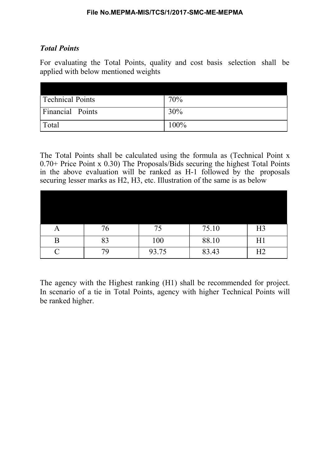## Total Points

For evaluating the Total Points, quality and cost basis selection shall be applied with below mentioned weights

| Technical Points | 70%  |
|------------------|------|
| Financial Points | 30%  |
| Total            | 100% |

The Total Points shall be calculated using the formula as (Technical Point x 0.70+ Price Point x 0.30) The Proposals/Bids securing the highest Total Points in the above evaluation will be ranked as H-1 followed by the proposals securing lesser marks as H2, H3, etc. Illustration of the same is as below

| A                  | 76 | 75    | 75.10 | H <sub>3</sub> |
|--------------------|----|-------|-------|----------------|
| В                  | 83 | 100   | 88.10 | H1             |
| $\curvearrowright$ |    | 93.75 | 83.43 | H2             |

The agency with the Highest ranking (H1) shall be recommended for project. In scenario of a tie in Total Points, agency with higher Technical Points will be ranked higher.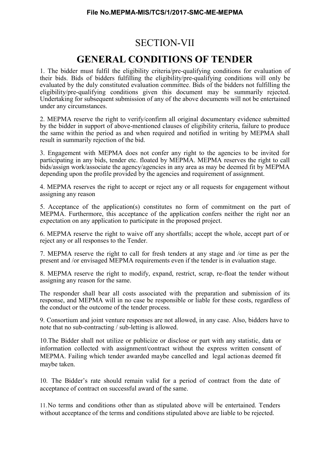## SECTION-VII

## GENERAL CONDITIONS OF TENDER

1. The bidder must fulfil the eligibility criteria/pre-qualifying conditions for evaluation of their bids. Bids of bidders fulfilling the eligibility/pre-qualifying conditions will only be evaluated by the duly constituted evaluation committee. Bids of the bidders not fulfilling the eligibility/pre-qualifying conditions given this document may be summarily rejected. Undertaking for subsequent submission of any of the above documents will not be entertained under any circumstances.

2. MEPMA reserve the right to verify/confirm all original documentary evidence submitted by the bidder in support of above-mentioned clauses of eligibility criteria, failure to produce the same within the period as and when required and notified in writing by MEPMA shall result in summarily rejection of the bid.

3. Engagement with MEPMA does not confer any right to the agencies to be invited for participating in any bids, tender etc. floated by MEPMA. MEPMA reserves the right to call bids/assign work/associate the agency/agencies in any area as may be deemed fit by MEPMA depending upon the profile provided by the agencies and requirement of assignment.

4. MEPMA reserves the right to accept or reject any or all requests for engagement without assigning any reason

5. Acceptance of the application(s) constitutes no form of commitment on the part of MEPMA. Furthermore, this acceptance of the application confers neither the right nor an expectation on any application to participate in the proposed project.

6. MEPMA reserve the right to waive off any shortfalls; accept the whole, accept part of or reject any or all responses to the Tender.

7. MEPMA reserve the right to call for fresh tenders at any stage and /or time as per the present and /or envisaged MEPMA requirements even if the tender is in evaluation stage.

8. MEPMA reserve the right to modify, expand, restrict, scrap, re-float the tender without assigning any reason for the same.

The responder shall bear all costs associated with the preparation and submission of its response, and MEPMA will in no case be responsible or liable for these costs, regardless of the conduct or the outcome of the tender process.

9. Consortium and joint venture responses are not allowed, in any case. Also, bidders have to note that no sub-contracting / sub-letting is allowed.

10.The Bidder shall not utilize or publicize or disclose or part with any statistic, data or information collected with assignment/contract without the express written consent of MEPMA. Failing which tender awarded maybe cancelled and legal action as deemed fit maybe taken.

10. The Bidder's rate should remain valid for a period of contract from the date of acceptance of contract on successful award of the same.

11.No terms and conditions other than as stipulated above will be entertained. Tenders without acceptance of the terms and conditions stipulated above are liable to be rejected.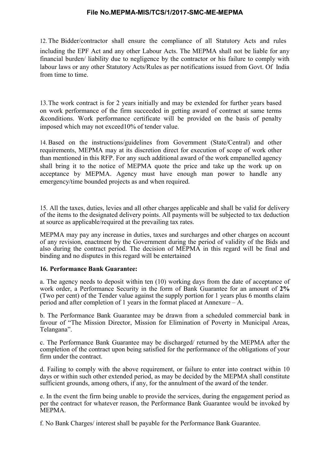12. The Bidder/contractor shall ensure the compliance of all Statutory Acts and rules including the EPF Act and any other Labour Acts. The MEPMA shall not be liable for any financial burden/ liability due to negligence by the contractor or his failure to comply with labour laws or any other Statutory Acts/Rules as per notifications issued from Govt. Of India from time to time.

13.The work contract is for 2 years initially and may be extended for further years based on work performance of the firm succeeded in getting award of contract at same terms &conditions. Work performance certificate will be provided on the basis of penalty imposed which may not exceed10% of tender value.

14.Based on the instructions/guidelines from Government (State/Central) and other requirements, MEPMA may at its discretion direct for execution of scope of work other than mentioned in this RFP. For any such additional award of the work empanelled agency shall bring it to the notice of MEPMA quote the price and take up the work up on acceptance by MEPMA. Agency must have enough man power to handle any emergency/time bounded projects as and when required.

15. All the taxes, duties, levies and all other charges applicable and shall be valid for delivery of the items to the designated delivery points. All payments will be subjected to tax deduction at source as applicable/required at the prevailing tax rates.

MEPMA may pay any increase in duties, taxes and surcharges and other charges on account of any revision, enactment by the Government during the period of validity of the Bids and also during the contract period. The decision of MEPMA in this regard will be final and binding and no disputes in this regard will be entertained

#### 16. Performance Bank Guarantee:

a. The agency needs to deposit within ten (10) working days from the date of acceptance of work order, a Performance Security in the form of Bank Guarantee for an amount of 2% (Two per cent) of the Tender value against the supply portion for 1 years plus 6 months claim period and after completion of 1 years in the format placed at Annexure – A.

b. The Performance Bank Guarantee may be drawn from a scheduled commercial bank in favour of "The Mission Director, Mission for Elimination of Poverty in Municipal Areas, Telangana".

c. The Performance Bank Guarantee may be discharged/ returned by the MEPMA after the completion of the contract upon being satisfied for the performance of the obligations of your firm under the contract.

d. Failing to comply with the above requirement, or failure to enter into contract within 10 days or within such other extended period, as may be decided by the MEPMA shall constitute sufficient grounds, among others, if any, for the annulment of the award of the tender.

e. In the event the firm being unable to provide the services, during the engagement period as per the contract for whatever reason, the Performance Bank Guarantee would be invoked by MEPMA.

f. No Bank Charges/ interest shall be payable for the Performance Bank Guarantee.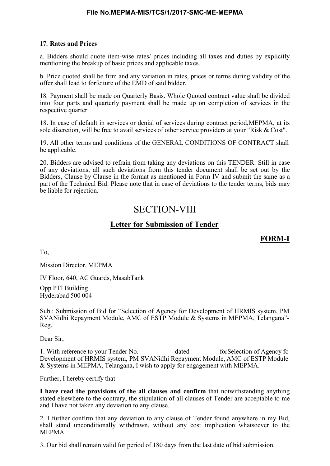#### 17. Rates and Prices

a. Bidders should quote item-wise rates/ prices including all taxes and duties by explicitly mentioning the breakup of basic prices and applicable taxes.

b. Price quoted shall be firm and any variation in rates, prices or terms during validity of the offer shall lead to forfeiture of the EMD of said bidder.

18. Payment shall be made on Quarterly Basis. Whole Quoted contract value shall be divided into four parts and quarterly payment shall be made up on completion of services in the respective quarter

18. In case of default in services or denial of services during contract period,MEPMA, at its sole discretion, will be free to avail services of other service providers at your "Risk & Cost".

19. All other terms and conditions of the GENERAL CONDITIONS OF CONTRACT shall be applicable.

20. Bidders are advised to refrain from taking any deviations on this TENDER. Still in case of any deviations, all such deviations from this tender document shall be set out by the Bidders, Clause by Clause in the format as mentioned in Form IV and submit the same as a part of the Technical Bid. Please note that in case of deviations to the tender terms, bids may be liable for rejection.

## SECTION-VIII

#### Letter for Submission of Tender

FORM-I

To,

Mission Director, MEPMA

IV Floor, 640, AC Guards, MasabTank

Opp PTI Building Hyderabad 500 004

Sub.: Submission of Bid for "Selection of Agency for Development of HRMIS system, PM SVANidhi Repayment Module, AMC of ESTP Module & Systems in MEPMA, Telangana"- Reg.

Dear Sir,

1. With reference to your Tender No. --------------- dated ------------- forSelection of Agency fo Development of HRMIS system, PM SVANidhi Repayment Module, AMC of ESTP Module & Systems in MEPMA, Telangana, I wish to apply for engagement with MEPMA.

Further, I hereby certify that

I have read the provisions of the all clauses and confirm that notwithstanding anything stated elsewhere to the contrary, the stipulation of all clauses of Tender are acceptable to me and I have not taken any deviation to any clause.

2. I further confirm that any deviation to any clause of Tender found anywhere in my Bid, shall stand unconditionally withdrawn, without any cost implication whatsoever to the MEPMA.

3. Our bid shall remain valid for period of 180 days from the last date of bid submission.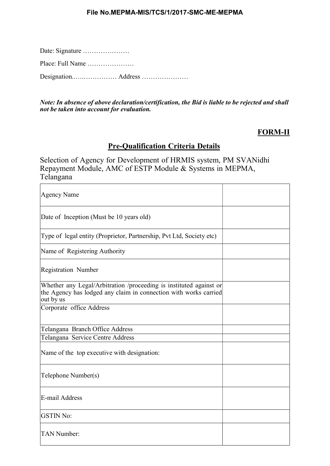Date: Signature …………………

Place: Full Name …………………

Designation..….…………… Address …………………

Note: In absence of above declaration/certification, the Bid is liable to be rejected and shall not be taken into account for evaluation.

## FORM-II

## Pre-Qualification Criteria Details

Selection of Agency for Development of HRMIS system, PM SVANidhi Repayment Module, AMC of ESTP Module & Systems in MEPMA, Telangana

| <b>Agency Name</b>                                                                                                                                  |  |
|-----------------------------------------------------------------------------------------------------------------------------------------------------|--|
| Date of Inception (Must be 10 years old)                                                                                                            |  |
| Type of legal entity (Proprietor, Partnership, Pvt Ltd, Society etc)                                                                                |  |
| Name of Registering Authority                                                                                                                       |  |
| <b>Registration Number</b>                                                                                                                          |  |
| Whether any Legal/Arbitration /proceeding is instituted against or<br>the Agency has lodged any claim in connection with works carried<br>out by us |  |
| Corporate office Address                                                                                                                            |  |
| Telangana Branch Office Address                                                                                                                     |  |
| Telangana Service Centre Address                                                                                                                    |  |
| Name of the top executive with designation:                                                                                                         |  |
| Telephone Number(s)                                                                                                                                 |  |
| E-mail Address                                                                                                                                      |  |
| <b>GSTIN No:</b>                                                                                                                                    |  |
| <b>TAN Number:</b>                                                                                                                                  |  |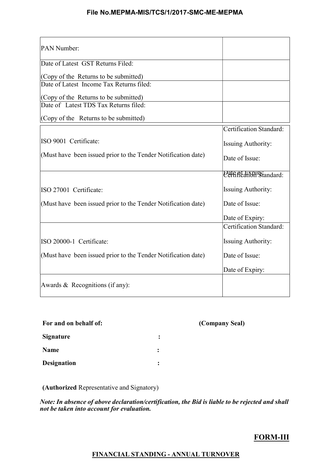| PAN Number:                                                   |                           |
|---------------------------------------------------------------|---------------------------|
| Date of Latest GST Returns Filed:                             |                           |
| $ $ (Copy of the Returns to be submitted)                     |                           |
| Date of Latest Income Tax Returns filed:                      |                           |
| $ $ (Copy of the Returns to be submitted)                     |                           |
| Date of Latest TDS Tax Returns filed:                         |                           |
| (Copy of the Returns to be submitted)                         |                           |
|                                                               | Certification Standard:   |
| ISO 9001 Certificate:                                         | <b>Issuing Authority:</b> |
| (Must have been issued prior to the Tender Notification date) | Date of Issue:            |
|                                                               | Pate of Explistandard:    |
| ISO 27001 Certificate:                                        | <b>Issuing Authority:</b> |
| (Must have been issued prior to the Tender Notification date) | Date of Issue:            |
|                                                               | Date of Expiry:           |
|                                                               | Certification Standard:   |
| ISO 20000-1 Certificate:                                      | <b>Issuing Authority:</b> |
| (Must have been issued prior to the Tender Notification date) | Date of Issue:            |
|                                                               | Date of Expiry:           |
| Awards & Recognitions (if any):                               |                           |

|                | (Company Seal) |
|----------------|----------------|
| :              |                |
| $\ddot{\cdot}$ |                |
| $\ddot{\cdot}$ |                |
|                |                |

(Authorized Representative and Signatory)

Note: In absence of above declaration/certification, the Bid is liable to be rejected and shall not be taken into account for evaluation.

## FORM-III

#### FINANCIAL STANDING - ANNUAL TURNOVER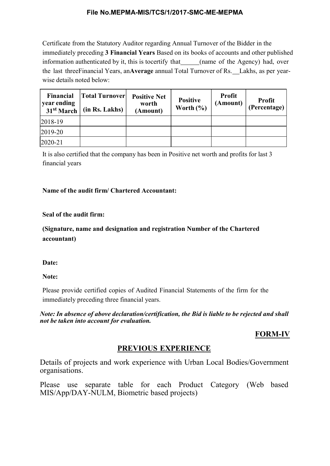Certificate from the Statutory Auditor regarding Annual Turnover of the Bidder in the immediately preceding 3 Financial Years Based on its books of accounts and other published information authenticated by it, this is to certify that (name of the Agency) had, over the last three Financial Years, an Average annual Total Turnover of Rs. Lakhs, as per yearwise details noted below:

| <b>Financial</b><br>year ending<br>31 <sup>st</sup> March | <b>Total Turnover</b><br>(in Rs. Lakhs) | <b>Positive Net</b><br>worth<br>(Amount) | <b>Positive</b><br>Worth $(\% )$ | <b>Profit</b><br>(Amount) | <b>Profit</b><br>(Percentage) |
|-----------------------------------------------------------|-----------------------------------------|------------------------------------------|----------------------------------|---------------------------|-------------------------------|
| $ 2018-19$                                                |                                         |                                          |                                  |                           |                               |
| $ 2019-20 $                                               |                                         |                                          |                                  |                           |                               |
| 2020-21                                                   |                                         |                                          |                                  |                           |                               |

It is also certified that the company has been in Positive net worth and profits for last 3 financial years

#### Name of the audit firm/ Chartered Accountant:

#### Seal of the audit firm:

(Signature, name and designation and registration Number of the Chartered accountant)

#### Date:

Note:

Please provide certified copies of Audited Financial Statements of the firm for the immediately preceding three financial years.

Note: In absence of above declaration/certification, the Bid is liable to be rejected and shall not be taken into account for evaluation.

## FORM-IV

## PREVIOUS EXPERIENCE

Details of projects and work experience with Urban Local Bodies/Government organisations.

Please use separate table for each Product Category (Web based MIS/App/DAY-NULM, Biometric based projects)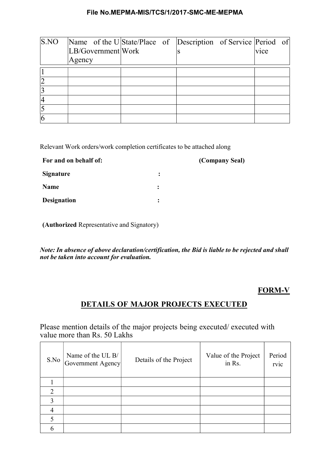| S.NO | Name of the U State/Place of Description of Service Period of |  |  |                   |  |
|------|---------------------------------------------------------------|--|--|-------------------|--|
|      | LB/Government Work                                            |  |  | v <sub>1</sub> ce |  |
|      | Agency                                                        |  |  |                   |  |
|      |                                                               |  |  |                   |  |
|      |                                                               |  |  |                   |  |
|      |                                                               |  |  |                   |  |
|      |                                                               |  |  |                   |  |
|      |                                                               |  |  |                   |  |
|      |                                                               |  |  |                   |  |

Relevant Work orders/work completion certificates to be attached along

| For and on behalf of: |                | (Company Seal) |
|-----------------------|----------------|----------------|
| <b>Signature</b>      | $\ddot{\cdot}$ |                |
| Name                  | $\ddot{\cdot}$ |                |
| <b>Designation</b>    | ፡              |                |

(Authorized Representative and Signatory)

Note: In absence of above declaration/certification, the Bid is liable to be rejected and shall not be taken into account for evaluation.

## FORM-V

## DETAILS OF MAJOR PROJECTS EXECUTED

Please mention details of the major projects being executed/ executed with value more than Rs. 50 Lakhs

| S.No | Name of the UL B/<br>Government Agency | Details of the Project | Value of the Project<br>in Rs. | Period<br>rvic |
|------|----------------------------------------|------------------------|--------------------------------|----------------|
|      |                                        |                        |                                |                |
| ↑    |                                        |                        |                                |                |
| 3    |                                        |                        |                                |                |
|      |                                        |                        |                                |                |
|      |                                        |                        |                                |                |
|      |                                        |                        |                                |                |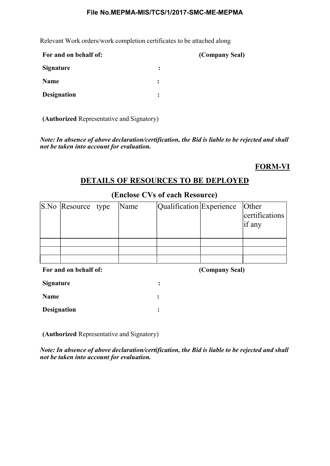Relevant Work orders/work completion certificates to be attached along

| For and on behalf of: |                      | (Company Seal) |
|-----------------------|----------------------|----------------|
| <b>Signature</b>      | $\ddot{\phantom{a}}$ |                |
| Name                  | $\ddot{\cdot}$       |                |
| <b>Designation</b>    | ፡                    |                |

(Authorized Representative and Signatory)

Note: In absence of above declaration/certification, the Bid is liable to be rejected and shall not be taken into account for evaluation.

## FORM-VI

## DETAILS OF RESOURCES TO BE DEPLOYED

| S.No Resource type | Name | Qualification Experience  Other | certifications<br>if any |
|--------------------|------|---------------------------------|--------------------------|
|                    |      |                                 |                          |

### (Enclose CVs of each Resource)

|        |  | For and on behalf of: |  |
|--------|--|-----------------------|--|
|        |  |                       |  |
| $\sim$ |  |                       |  |

(Company Seal)

| <b>Signature</b>   |  |
|--------------------|--|
| <b>Name</b>        |  |
| <b>Designation</b> |  |

(Authorized Representative and Signatory)

Note: In absence of above declaration/certification, the Bid is liable to be rejected and shall not be taken into account for evaluation.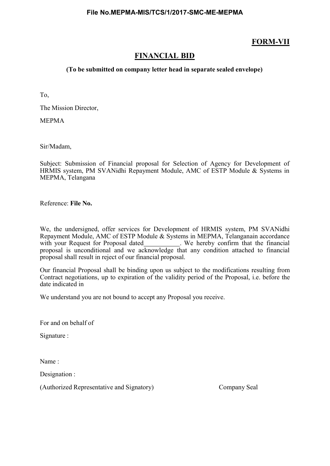## FORM-VII

## FINANCIAL BID

#### (To be submitted on company letter head in separate sealed envelope)

To,

The Mission Director,

MEPMA

Sir/Madam,

Subject: Submission of Financial proposal for Selection of Agency for Development of HRMIS system, PM SVANidhi Repayment Module, AMC of ESTP Module & Systems in MEPMA, Telangana

Reference: File No.

We, the undersigned, offer services for Development of HRMIS system, PM SVANidhi Repayment Module, AMC of ESTP Module & Systems in MEPMA, Telanganain accordance with your Request for Proposal dated\_\_\_\_\_\_\_\_\_\_\_\_. We hereby confirm that the financial proposal is unconditional and we acknowledge that any condition attached to financial proposal shall result in reject of our financial proposal.

Our financial Proposal shall be binding upon us subject to the modifications resulting from Contract negotiations, up to expiration of the validity period of the Proposal, i.e. before the date indicated in

We understand you are not bound to accept any Proposal you receive.

For and on behalf of

Signature :

Name :

Designation :

(Authorized Representative and Signatory) Company Seal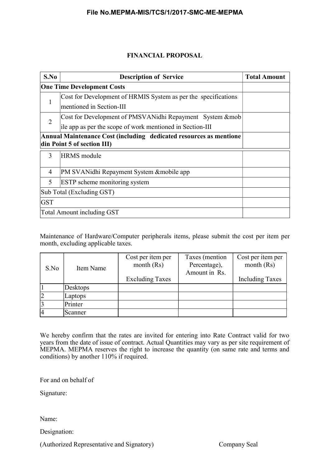#### FINANCIAL PROPOSAL

| S.No                                                                                              | <b>Description of Service</b>                                  | <b>Total Amount</b> |
|---------------------------------------------------------------------------------------------------|----------------------------------------------------------------|---------------------|
| <b>One Time Development Costs</b>                                                                 |                                                                |                     |
| 1                                                                                                 | Cost for Development of HRMIS System as per the specifications |                     |
|                                                                                                   | mentioned in Section-III                                       |                     |
| $\overline{2}$                                                                                    | Cost for Development of PMSVANidhi Repayment System &mob       |                     |
|                                                                                                   | ile app as per the scope of work mentioned in Section-III      |                     |
| Annual Maintenance Cost (including dedicated resources as mentione<br>din Point 5 of section III) |                                                                |                     |
| 3                                                                                                 | <b>HRMS</b> module                                             |                     |
| $\overline{4}$                                                                                    | PM SVANidhi Repayment System & mobile app                      |                     |
| 5                                                                                                 | ESTP scheme monitoring system                                  |                     |
| Sub Total (Excluding GST)                                                                         |                                                                |                     |
| <b>GST</b>                                                                                        |                                                                |                     |
|                                                                                                   | <b>Total Amount including GST</b>                              |                     |

Maintenance of Hardware/Computer peripherals items, please submit the cost per item per month, excluding applicable taxes.

|                |           | Cost per item per      | Taxes (mention                | Cost per item per      |
|----------------|-----------|------------------------|-------------------------------|------------------------|
| S.No           | Item Name | month $(Rs)$           | Percentage),<br>Amount in Rs. | month $(Rs)$           |
|                |           |                        |                               |                        |
|                |           | <b>Excluding Taxes</b> |                               | <b>Including Taxes</b> |
|                | Desktops  |                        |                               |                        |
| $\overline{2}$ | Laptops   |                        |                               |                        |
| $\overline{3}$ | Printer   |                        |                               |                        |
|                | Scanner   |                        |                               |                        |

We hereby confirm that the rates are invited for entering into Rate Contract valid for two years from the date of issue of contract. Actual Quantities may vary as per site requirement of MEPMA. MEPMA reserves the right to increase the quantity (on same rate and terms and conditions) by another 110% if required.

For and on behalf of

Signature:

Name:

Designation:

(Authorized Representative and Signatory) Company Seal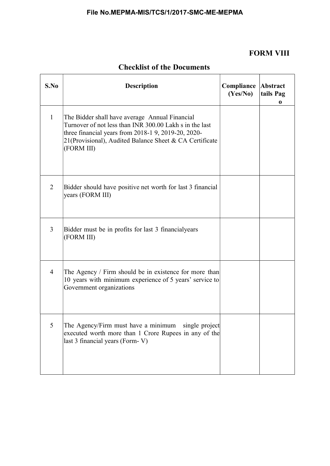## FORM VIII

| S.No           | <b>Description</b>                                                                                                                                                                                                                        | Compliance<br>(Yes/No) | Abstract<br>tails Pag<br>0 |
|----------------|-------------------------------------------------------------------------------------------------------------------------------------------------------------------------------------------------------------------------------------------|------------------------|----------------------------|
| $\mathbf{1}$   | The Bidder shall have average Annual Financial<br>Turnover of not less than INR 300.00 Lakh s in the last<br>three financial years from 2018-1 9, 2019-20, 2020-<br>21(Provisional), Audited Balance Sheet & CA Certificate<br>(FORM III) |                        |                            |
| 2              | Bidder should have positive net worth for last 3 financial<br>years (FORM III)                                                                                                                                                            |                        |                            |
| 3              | Bidder must be in profits for last 3 financialyears<br>(FORM III)                                                                                                                                                                         |                        |                            |
| $\overline{4}$ | The Agency / Firm should be in existence for more than<br>10 years with minimum experience of 5 years' service to<br>Government organizations                                                                                             |                        |                            |
| 5              | The Agency/Firm must have a minimum single project<br>executed worth more than 1 Crore Rupees in any of the<br>last 3 financial years (Form-V)                                                                                            |                        |                            |

## Checklist of the Documents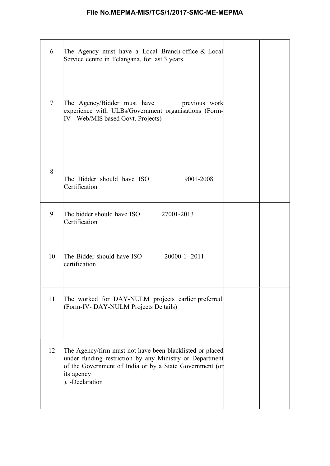| 6              | The Agency must have a Local Branch office & Local<br>Service centre in Telangana, for last 3 years                                                                                                             |  |
|----------------|-----------------------------------------------------------------------------------------------------------------------------------------------------------------------------------------------------------------|--|
| $\overline{7}$ | previous work<br>The Agency/Bidder must have<br>experience with ULBs/Government organisations (Form-<br>IV- Web/MIS based Govt. Projects)                                                                       |  |
| 8              | The Bidder should have ISO<br>9001-2008<br>Certification                                                                                                                                                        |  |
| 9              | The bidder should have ISO 27001-2013<br>Certification                                                                                                                                                          |  |
| 10             | The Bidder should have ISO 20000-1-2011<br>certification                                                                                                                                                        |  |
| 11             | The worked for DAY-NULM projects earlier preferred<br>(Form-IV-DAY-NULM Projects De tails)                                                                                                                      |  |
| 12             | The Agency/firm must not have been blacklisted or placed<br>under funding restriction by any Ministry or Department<br>of the Government of India or by a State Government (or<br>its agency<br>). -Declaration |  |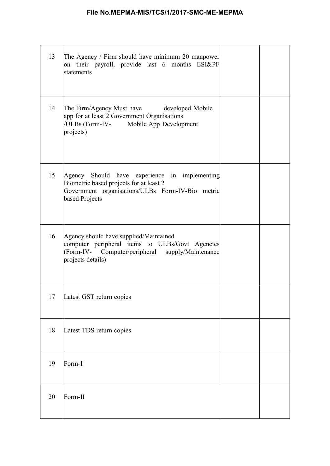| 13 | The Agency / Firm should have minimum 20 manpower<br>on their payroll, provide last 6 months ESI&PF<br>statements                                                  |  |
|----|--------------------------------------------------------------------------------------------------------------------------------------------------------------------|--|
| 14 | The Firm/Agency Must have developed Mobile<br>app for at least 2 Government Organisations<br>/ULBs (Form-IV- Mobile App Development<br>projects)                   |  |
| 15 | Agency Should have experience in implementing<br>Biometric based projects for at least 2<br>Government organisations/ULBs Form-IV-Bio metric<br>based Projects     |  |
| 16 | Agency should have supplied/Maintained<br>computer peripheral items to ULBs/Govt Agencies<br>(Form-IV- Computer/peripheral supply/Maintenance<br>projects details) |  |
| 17 | Latest GST return copies                                                                                                                                           |  |
| 18 | Latest TDS return copies                                                                                                                                           |  |
| 19 | Form-I                                                                                                                                                             |  |
| 20 | Form-II                                                                                                                                                            |  |